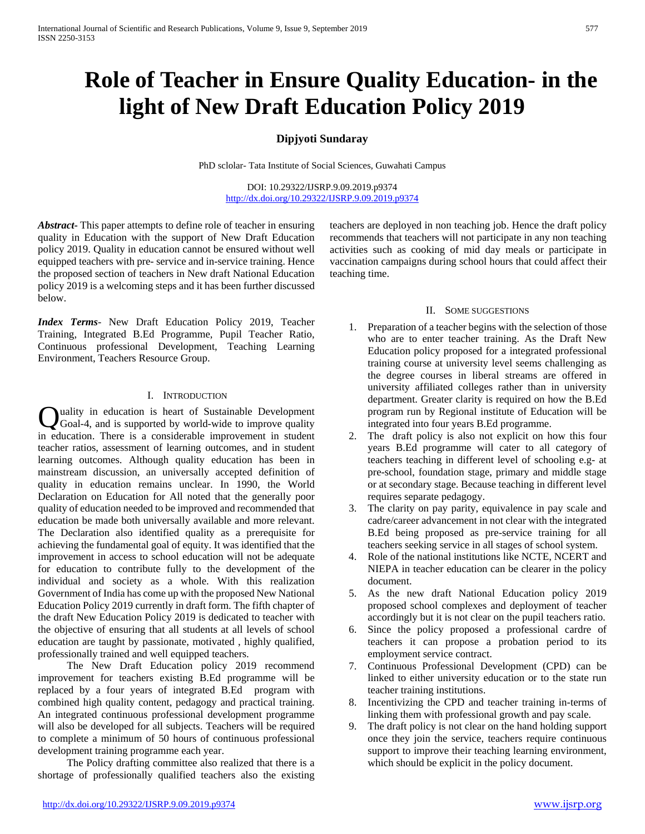# **Role of Teacher in Ensure Quality Education- in the light of New Draft Education Policy 2019**

## **Dipjyoti Sundaray**

PhD sclolar- Tata Institute of Social Sciences, Guwahati Campus

DOI: 10.29322/IJSRP.9.09.2019.p9374 <http://dx.doi.org/10.29322/IJSRP.9.09.2019.p9374>

*Abstract***-** This paper attempts to define role of teacher in ensuring quality in Education with the support of New Draft Education policy 2019. Quality in education cannot be ensured without well equipped teachers with pre- service and in-service training. Hence the proposed section of teachers in New draft National Education policy 2019 is a welcoming steps and it has been further discussed below.

*Index Terms*- New Draft Education Policy 2019, Teacher Training, Integrated B.Ed Programme, Pupil Teacher Ratio, Continuous professional Development, Teaching Learning Environment, Teachers Resource Group.

### I. INTRODUCTION

uality in education is heart of Sustainable Development Quality in education is heart of Sustainable Development<br>Goal-4, and is supported by world-wide to improve quality in education. There is a considerable improvement in student teacher ratios, assessment of learning outcomes, and in student learning outcomes. Although quality education has been in mainstream discussion, an universally accepted definition of quality in education remains unclear. In 1990, the World Declaration on Education for All noted that the generally poor quality of education needed to be improved and recommended that education be made both universally available and more relevant. The Declaration also identified quality as a prerequisite for achieving the fundamental goal of equity. It was identified that the improvement in access to school education will not be adequate for education to contribute fully to the development of the individual and society as a whole. With this realization Government of India has come up with the proposed New National Education Policy 2019 currently in draft form. The fifth chapter of the draft New Education Policy 2019 is dedicated to teacher with the objective of ensuring that all students at all levels of school education are taught by passionate, motivated , highly qualified, professionally trained and well equipped teachers.

 The New Draft Education policy 2019 recommend improvement for teachers existing B.Ed programme will be replaced by a four years of integrated B.Ed program with combined high quality content, pedagogy and practical training. An integrated continuous professional development programme will also be developed for all subjects. Teachers will be required to complete a minimum of 50 hours of continuous professional development training programme each year.

 The Policy drafting committee also realized that there is a shortage of professionally qualified teachers also the existing teachers are deployed in non teaching job. Hence the draft policy recommends that teachers will not participate in any non teaching activities such as cooking of mid day meals or participate in vaccination campaigns during school hours that could affect their teaching time.

### II. SOME SUGGESTIONS

- 1. Preparation of a teacher begins with the selection of those who are to enter teacher training. As the Draft New Education policy proposed for a integrated professional training course at university level seems challenging as the degree courses in liberal streams are offered in university affiliated colleges rather than in university department. Greater clarity is required on how the B.Ed program run by Regional institute of Education will be integrated into four years B.Ed programme.
- 2. The draft policy is also not explicit on how this four years B.Ed programme will cater to all category of teachers teaching in different level of schooling e.g- at pre-school, foundation stage, primary and middle stage or at secondary stage. Because teaching in different level requires separate pedagogy.
- 3. The clarity on pay parity, equivalence in pay scale and cadre/career advancement in not clear with the integrated B.Ed being proposed as pre-service training for all teachers seeking service in all stages of school system.
- 4. Role of the national institutions like NCTE, NCERT and NIEPA in teacher education can be clearer in the policy document.
- 5. As the new draft National Education policy 2019 proposed school complexes and deployment of teacher accordingly but it is not clear on the pupil teachers ratio.
- 6. Since the policy proposed a professional cardre of teachers it can propose a probation period to its employment service contract.
- 7. Continuous Professional Development (CPD) can be linked to either university education or to the state run teacher training institutions.
- 8. Incentivizing the CPD and teacher training in-terms of linking them with professional growth and pay scale.
- 9. The draft policy is not clear on the hand holding support once they join the service, teachers require continuous support to improve their teaching learning environment, which should be explicit in the policy document.